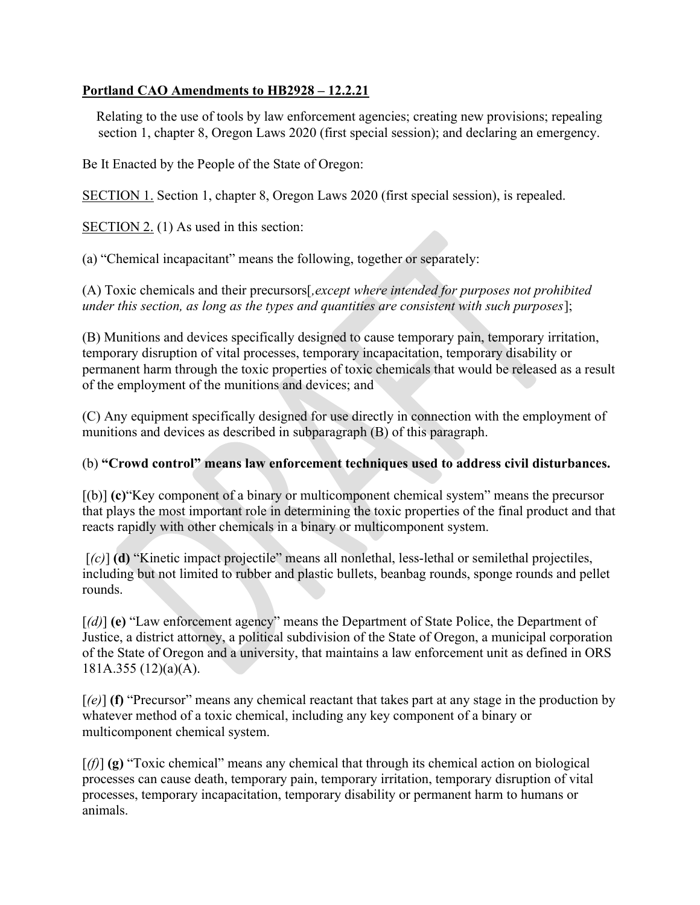## Portland CAO Amendments to HB2928 – 12.2.21

Relating to the use of tools by law enforcement agencies; creating new provisions; repealing section 1, chapter 8, Oregon Laws 2020 (first special session); and declaring an emergency.

Be It Enacted by the People of the State of Oregon:

SECTION 1. Section 1, chapter 8, Oregon Laws 2020 (first special session), is repealed.

SECTION 2. (1) As used in this section:

(a) "Chemical incapacitant" means the following, together or separately:

(A) Toxic chemicals and their precursors[,except where intended for purposes not prohibited under this section, as long as the types and quantities are consistent with such purposes];

(B) Munitions and devices specifically designed to cause temporary pain, temporary irritation, temporary disruption of vital processes, temporary incapacitation, temporary disability or permanent harm through the toxic properties of toxic chemicals that would be released as a result of the employment of the munitions and devices; and

(C) Any equipment specifically designed for use directly in connection with the employment of munitions and devices as described in subparagraph (B) of this paragraph.

## (b) "Crowd control" means law enforcement techniques used to address civil disturbances.

[(b)] (c)"Key component of a binary or multicomponent chemical system" means the precursor that plays the most important role in determining the toxic properties of the final product and that reacts rapidly with other chemicals in a binary or multicomponent system.

 $[(c)]$  (d) "Kinetic impact projectile" means all nonlethal, less-lethal or semilethal projectiles, including but not limited to rubber and plastic bullets, beanbag rounds, sponge rounds and pellet rounds.

[(d)] (e) "Law enforcement agency" means the Department of State Police, the Department of Justice, a district attorney, a political subdivision of the State of Oregon, a municipal corporation of the State of Oregon and a university, that maintains a law enforcement unit as defined in ORS 181A.355 (12)(a)(A).

 $[\ell(e)]$  (f) "Precursor" means any chemical reactant that takes part at any stage in the production by whatever method of a toxic chemical, including any key component of a binary or multicomponent chemical system.

 $[(f)]$  (g) "Toxic chemical" means any chemical that through its chemical action on biological processes can cause death, temporary pain, temporary irritation, temporary disruption of vital processes, temporary incapacitation, temporary disability or permanent harm to humans or animals.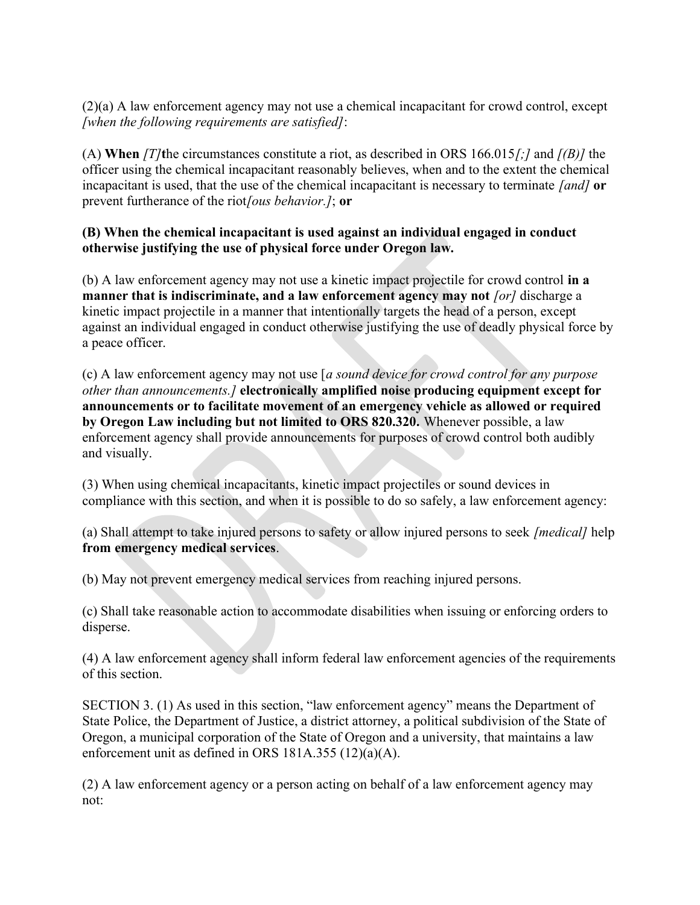(2)(a) A law enforcement agency may not use a chemical incapacitant for crowd control, except [when the following requirements are satisfied]:

(A) When  $\frac{1}{2}$  (A) When  $\frac{1}{2}$  is circumstances constitute a riot, as described in ORS 166.015/; and  $\frac{1}{8}$  the officer using the chemical incapacitant reasonably believes, when and to the extent the chemical incapacitant is used, that the use of the chemical incapacitant is necessary to terminate [and] or prevent furtherance of the riot/ous behavior.]; or

## (B) When the chemical incapacitant is used against an individual engaged in conduct otherwise justifying the use of physical force under Oregon law.

(b) A law enforcement agency may not use a kinetic impact projectile for crowd control in a manner that is indiscriminate, and a law enforcement agency may not  $[or]$  discharge a kinetic impact projectile in a manner that intentionally targets the head of a person, except against an individual engaged in conduct otherwise justifying the use of deadly physical force by a peace officer.

(c) A law enforcement agency may not use [a sound device for crowd control for any purpose other than announcements.] electronically amplified noise producing equipment except for announcements or to facilitate movement of an emergency vehicle as allowed or required by Oregon Law including but not limited to ORS 820.320. Whenever possible, a law enforcement agency shall provide announcements for purposes of crowd control both audibly and visually.

(3) When using chemical incapacitants, kinetic impact projectiles or sound devices in compliance with this section, and when it is possible to do so safely, a law enforcement agency:

(a) Shall attempt to take injured persons to safety or allow injured persons to seek [medical] help from emergency medical services.

(b) May not prevent emergency medical services from reaching injured persons.

(c) Shall take reasonable action to accommodate disabilities when issuing or enforcing orders to disperse.

(4) A law enforcement agency shall inform federal law enforcement agencies of the requirements of this section.

SECTION 3. (1) As used in this section, "law enforcement agency" means the Department of State Police, the Department of Justice, a district attorney, a political subdivision of the State of Oregon, a municipal corporation of the State of Oregon and a university, that maintains a law enforcement unit as defined in ORS 181A.355 (12)(a)(A).

(2) A law enforcement agency or a person acting on behalf of a law enforcement agency may not: